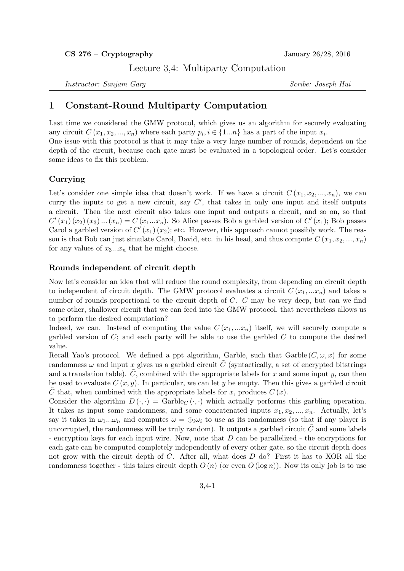$CS 276 - Cryptography$  January 26/28, 2016

Lecture 3,4: Multiparty Computation

Instructor: Sanjam Garq Scribe: Joseph Hui

# 1 Constant-Round Multiparty Computation

Last time we considered the GMW protocol, which gives us an algorithm for securely evaluating any circuit  $C(x_1, x_2, ..., x_n)$  where each party  $p_i, i \in \{1...n\}$  has a part of the input  $x_i$ .

One issue with this protocol is that it may take a very large number of rounds, dependent on the depth of the circuit, because each gate must be evaluated in a topological order. Let's consider some ideas to fix this problem.

# Currying

Let's consider one simple idea that doesn't work. If we have a circuit  $C(x_1, x_2, ..., x_n)$ , we can curry the inputs to get a new circuit, say  $C'$ , that takes in only one input and itself outputs a circuit. Then the next circuit also takes one input and outputs a circuit, and so on, so that  $C'(x_1)(x_2)(x_3)...(x_n) = C(x_1...x_n)$ . So Alice passes Bob a garbled version of  $C'(x_1)$ ; Bob passes Carol a garbled version of  $C'(x_1)(x_2)$ ; etc. However, this approach cannot possibly work. The reason is that Bob can just simulate Carol, David, etc. in his head, and thus compute  $C(x_1, x_2, ..., x_n)$ for any values of  $x_3...x_n$  that he might choose.

## Rounds independent of circuit depth

Now let's consider an idea that will reduce the round complexity, from depending on circuit depth to independent of circuit depth. The GMW protocol evaluates a circuit  $C(x_1, ... x_n)$  and takes a number of rounds proportional to the circuit depth of C. C may be very deep, but can we find some other, shallower circuit that we can feed into the GMW protocol, that nevertheless allows us to perform the desired computation?

Indeed, we can. Instead of computing the value  $C(x_1,...x_n)$  itself, we will securely compute a garbled version of  $C$ ; and each party will be able to use the garbled  $C$  to compute the desired value.

Recall Yao's protocol. We defined a ppt algorithm, Garble, such that Garble  $(C, \omega, x)$  for some randomness  $\omega$  and input x gives us a garbled circuit  $\tilde{C}$  (syntactically, a set of encrypted bitstrings and a translation table).  $\hat{C}$ , combined with the appropriate labels for x and some input y, can then be used to evaluate  $C(x, y)$ . In particular, we can let y be empty. Then this gives a garbled circuit C that, when combined with the appropriate labels for x, produces  $C(x)$ .

Consider the algorithm  $D(\cdot, \cdot) = \text{Garble}_{C}(\cdot, \cdot)$  which actually performs this garbling operation. It takes as input some randomness, and some concatenated inputs  $x_1, x_2, ..., x_n$ . Actually, let's say it takes in  $\omega_1...\omega_n$  and computes  $\omega = \bigoplus_i \omega_i$  to use as its randomness (so that if any player is uncorrupted, the randomness will be truly random). It outputs a garbled circuit  $\tilde{C}$  and some labels - encryption keys for each input wire. Now, note that D can be parallelized - the encryptions for each gate can be computed completely independently of every other gate, so the circuit depth does not grow with the circuit depth of C. After all, what does D do? First it has to XOR all the randomness together - this takes circuit depth  $O(n)$  (or even  $O(\log n)$ ). Now its only job is to use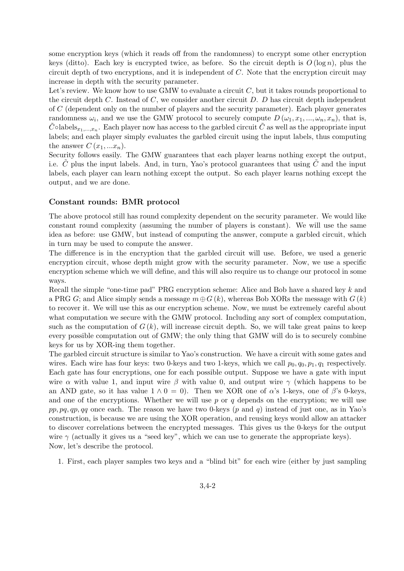some encryption keys (which it reads off from the randomness) to encrypt some other encryption keys (ditto). Each key is encrypted twice, as before. So the circuit depth is  $O(\log n)$ , plus the circuit depth of two encryptions, and it is independent of  $C$ . Note that the encryption circuit may increase in depth with the security parameter.

Let's review. We know how to use GMW to evaluate a circuit  $C$ , but it takes rounds proportional to the circuit depth  $C$ . Instead of  $C$ , we consider another circuit  $D$ .  $D$  has circuit depth independent of C (dependent only on the number of players and the security parameter). Each player generates randomness  $\omega_i$ , and we use the GMW protocol to securely compute  $D(\omega_1, x_1, ..., \omega_n, x_n)$ , that is,  $\tilde{C}$ ∘labels<sub>x<sub>1</sub>,...,x<sub>n</sub>. Each player now has access to the garbled circuit  $\tilde{C}$  as well as the appropriate input</sub> labels; and each player simply evaluates the garbled circuit using the input labels, thus computing the answer  $C(x_1,...x_n)$ .

Security follows easily. The GMW guarantees that each player learns nothing except the output, i.e. C plus the input labels. And, in turn, Yao's protocol guarantees that using  $C$  and the input labels, each player can learn nothing except the output. So each player learns nothing except the output, and we are done.

#### Constant rounds: BMR protocol

The above protocol still has round complexity dependent on the security parameter. We would like constant round complexity (assuming the number of players is constant). We will use the same idea as before: use GMW, but instead of computing the answer, compute a garbled circuit, which in turn may be used to compute the answer.

The difference is in the encryption that the garbled circuit will use. Before, we used a generic encryption circuit, whose depth might grow with the security parameter. Now, we use a specific encryption scheme which we will define, and this will also require us to change our protocol in some ways.

Recall the simple "one-time pad" PRG encryption scheme: Alice and Bob have a shared key k and a PRG G; and Alice simply sends a message  $m \oplus G(k)$ , whereas Bob XORs the message with  $G(k)$ to recover it. We will use this as our encryption scheme. Now, we must be extremely careful about what computation we secure with the GMW protocol. Including any sort of complex computation, such as the computation of  $G(k)$ , will increase circuit depth. So, we will take great pains to keep every possible computation out of GMW; the only thing that GMW will do is to securely combine keys for us by XOR-ing them together.

The garbled circuit structure is similar to Yao's construction. We have a circuit with some gates and wires. Each wire has four keys: two 0-keys and two 1-keys, which we call  $p_0, q_0, p_1, q_1$  respectively. Each gate has four encryptions, one for each possible output. Suppose we have a gate with input wire  $\alpha$  with value 1, and input wire  $\beta$  with value 0, and output wire  $\gamma$  (which happens to be an AND gate, so it has value  $1 \wedge 0 = 0$ . Then we XOR one of  $\alpha$ 's 1-keys, one of  $\beta$ 's 0-keys, and one of the encryptions. Whether we will use  $p$  or  $q$  depends on the encryption; we will use pp, pq, qp, qq once each. The reason we have two 0-keys (p and q) instead of just one, as in Yao's construction, is because we are using the XOR operation, and reusing keys would allow an attacker to discover correlations between the encrypted messages. This gives us the 0-keys for the output wire  $\gamma$  (actually it gives us a "seed key", which we can use to generate the appropriate keys). Now, let's describe the protocol.

1. First, each player samples two keys and a "blind bit" for each wire (either by just sampling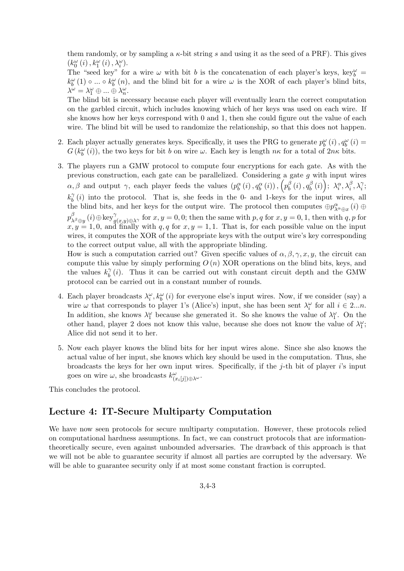them randomly, or by sampling a  $\kappa$ -bit string s and using it as the seed of a PRF). This gives  $\left(k_{0}^{\omega}\left(i\right),k_{1}^{\omega}\left(i\right),\lambda_{i}^{\omega}\right)$  .

The "seed key" for a wire  $\omega$  with bit b is the concatenation of each player's keys, key"  $k_b^{\omega}(1) \circ ... \circ k_b^{\omega}(n)$ , and the blind bit for a wire  $\omega$  is the XOR of each player's blind bits,  $\lambda^{\omega} = \lambda_1^{\omega} \oplus ... \oplus \lambda_n^{\omega}.$ 

The blind bit is necessary because each player will eventually learn the correct computation on the garbled circuit, which includes knowing which of her keys was used on each wire. If she knows how her keys correspond with 0 and 1, then she could figure out the value of each wire. The blind bit will be used to randomize the relationship, so that this does not happen.

- 2. Each player actually generates keys. Specifically, it uses the PRG to generate  $p_b^{\omega}(i)$ ,  $q_b^{\omega}(i)$  =  $G(k_b^{\omega}(i))$ , the two keys for bit b on wire  $\omega$ . Each key is length  $n\kappa$  for a total of  $2n\kappa$  bits.
- 3. The players run a GMW protocol to compute four encryptions for each gate. As with the previous construction, each gate can be parallelized. Considering a gate g with input wires  $\alpha, \beta$  and output  $\gamma$ , each player feeds the values  $(p_b^{\alpha}(i), q_b^{\alpha}(i))$ ,  $\left(p_b^{\beta}(i), q_b^{\beta}(i)\right)$  $\begin{array}{l} \beta \ b \end{array} (i)\,, q^{\beta}_b$  $\left(\begin{smallmatrix} \beta\ b \end{smallmatrix}\right);\ \lambda_i^{\alpha},\lambda_i^{\beta},\lambda_i^{\gamma};$  $k_h^{\gamma}$  $\delta$  (i) into the protocol. That is, she feeds in the 0- and 1-keys for the input wires, all the blind bits, and her keys for the output wire. The protocol then computes  $\oplus p_{\lambda^{\alpha} \oplus x}^{\alpha}(i) \oplus$  $p_\lambda^\beta$  $\int_{\lambda^{\beta}\oplus y}^{\beta}(i)\oplus \text{key}^{\gamma}_{g(x,y)\oplus \lambda^{\gamma}}$  for  $x, y = 0, 0$ ; then the same with  $p, q$  for  $x, y = 0, 1$ , then with  $q, p$  for  $x, y = 1, 0$ , and finally with  $q, q$  for  $x, y = 1, 1$ . That is, for each possible value on the input wires, it computes the XOR of the appropriate keys with the output wire's key corresponding to the correct output value, all with the appropriate blinding.

How is such a computation carried out? Given specific values of  $\alpha, \beta, \gamma, x, y$ , the circuit can compute this value by simply performing  $O(n)$  XOR operations on the blind bits, keys, and the values  $k_h^{\gamma}$  $\delta(t)$ . Thus it can be carried out with constant circuit depth and the GMW protocol can be carried out in a constant number of rounds.

- 4. Each player broadcasts  $\lambda_i^{\omega}$ ,  $k_b^{\omega}(i)$  for everyone else's input wires. Now, if we consider (say) a wire  $\omega$  that corresponds to player 1's (Alice's) input, she has been sent  $\lambda_i^{\omega}$  for all  $i \in 2...n$ . In addition, she knows  $\lambda_1^{\omega}$  because she generated it. So she knows the value of  $\lambda_1^{\omega}$ . On the other hand, player 2 does not know this value, because she does not know the value of  $\lambda_1^{\omega}$ ; Alice did not send it to her.
- 5. Now each player knows the blind bits for her input wires alone. Since she also knows the actual value of her input, she knows which key should be used in the computation. Thus, she broadcasts the keys for her own input wires. Specifically, if the  $j$ -th bit of player  $i$ 's input goes on wire  $\omega$ , she broadcasts  $k^{\omega}_{(x_i[j])\oplus\lambda^{\omega}}$ .

This concludes the protocol.

# Lecture 4: IT-Secure Multiparty Computation

We have now seen protocols for secure multiparty computation. However, these protocols relied on computational hardness assumptions. In fact, we can construct protocols that are informationtheoretically secure, even against unbounded adversaries. The drawback of this approach is that we will not be able to guarantee security if almost all parties are corrupted by the adversary. We will be able to guarantee security only if at most some constant fraction is corrupted.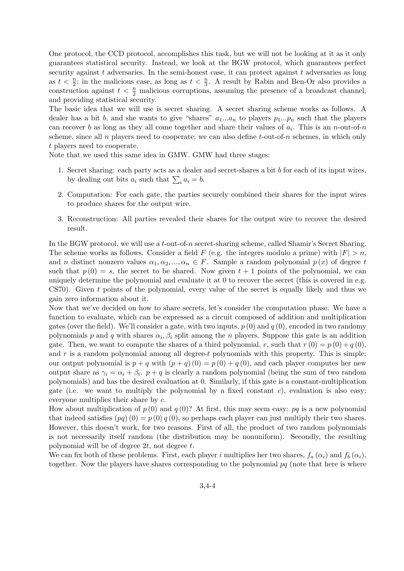One protocol, the CCD protocol, accomplishes this task, but we will not be looking at it as it only guarantees statistical security. Instead, we look at the BGW protocol, which guarantees perfect security against t adversaries. In the semi-honest case, it can protect against t adversaries as long as  $t < \frac{n}{2}$ ; in the malicious case, as long as  $t < \frac{n}{3}$ . A result by Rabin and Ben-Or also provides a construction against  $t < \frac{n}{2}$  malicious corruptions, assuming the presence of a broadcast channel, and providing statistical security.

The basic idea that we will use is secret sharing. A secret sharing scheme works as follows. A dealer has a bit b, and she wants to give "shares"  $a_1...a_n$  to players  $p_1...p_n$  such that the players can recover b as long as they all come together and share their values of  $a_i$ . This is an n-out-of-n scheme, since all n players need to cooperate; we can also define t-out-of-n schemes, in which only t players need to cooperate.

Note that we used this same idea in GMW. GMW had three stages:

- 1. Secret sharing: each party acts as a dealer and secret-shares a bit  $b$  for each of its input wires, by dealing out bits  $a_i$  such that  $\sum_i a_i = b$ .
- 2. Computation: For each gate, the parties securely combined their shares for the input wires to produce shares for the output wire.
- 3. Reconstruction: All parties revealed their shares for the output wire to recover the desired result.

In the BGW protocol, we will use a t-out-of-n secret-sharing scheme, called Shamir's Secret Sharing. The scheme works as follows. Consider a field F (e.g. the integers modulo a prime) with  $|F| > n$ , and n distinct nonzero values  $\alpha_1, \alpha_2, ..., \alpha_n \in F$ . Sample a random polynomial  $p(x)$  of degree t such that  $p(0) = s$ , the secret to be shared. Now given  $t + 1$  points of the polynomial, we can uniquely determine the polynomial and evaluate it at 0 to recover the secret (this is covered in e.g. CS70). Given  $t$  points of the polynomial, every value of the secret is equally likely and thus we gain zero information about it.

Now that we've decided on how to share secrets, let's consider the computation phase. We have a function to evaluate, which can be expressed as a circuit composed of addition and multiplication gates (over the field). We'll consider a gate, with two inputs,  $p(0)$  and  $q(0)$ , encoded in two randomy polynomials p and q with shares  $\alpha_i, \beta_i$  split among the n players. Suppose this gate is an addition gate. Then, we want to compute the shares of a third polynomial, r, such that  $r(0) = p(0) + q(0)$ , and  $r$  is a random polynomial among all degree-t polynomials with this property. This is simple: our output polynomial is  $p + q$  with  $(p + q)(0) = p(0) + q(0)$ , and each player computes her new output share as  $\gamma_i = \alpha_i + \beta_i$ .  $p + q$  is clearly a random polynomial (being the sum of two random polynomials) and has the desired evaluation at 0. Similarly, if this gate is a constant-multiplication gate (i.e. we want to multiply the polynomial by a fixed constant c), evaluation is also easy; everyone multiplies their share by c.

How about multiplication of  $p(0)$  and  $q(0)$ ? At first, this may seem easy: pq is a new polynomial that indeed satisfies  $(pq)(0) = p(0)q(0)$ , so perhaps each player can just multiply their two shares. However, this doesn't work, for two reasons. First of all, the product of two random polynomials is not necessarily itself random (the distribution may be nonuniform). Secondly, the resulting polynomial will be of degree  $2t$ , not degree  $t$ .

We can fix both of these problems. First, each player i multiplies her two shares,  $f_a(\alpha_i)$  and  $f_b(\alpha_i)$ , together. Now the players have shares corresponding to the polynomial  $pq$  (note that here is where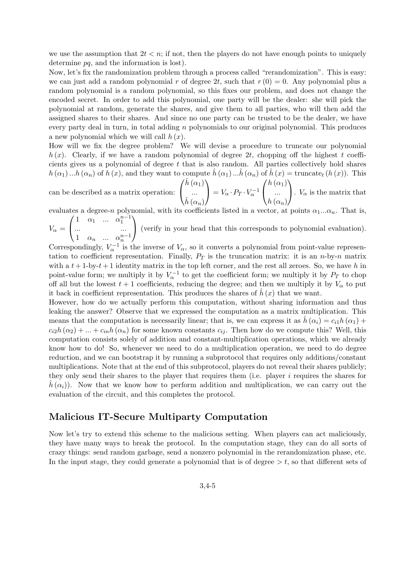we use the assumption that  $2t \leq n$ ; if not, then the players do not have enough points to uniquely determine  $pq$ , and the information is lost).

Now, let's fix the randomization problem through a process called "rerandomization". This is easy: we can just add a random polynomial r of degree 2t, such that  $r(0) = 0$ . Any polynomial plus a random polynomial is a random polynomial, so this fixes our problem, and does not change the encoded secret. In order to add this polynomial, one party will be the dealer: she will pick the polynomial at random, generate the shares, and give them to all parties, who will then add the assigned shares to their shares. And since no one party can be trusted to be the dealer, we have every party deal in turn, in total adding  $n$  polynomials to our original polynomial. This produces a new polynomial which we will call  $h(x)$ .

How will we fix the degree problem? We will devise a procedure to truncate our polynomial  $h(x)$ . Clearly, if we have a random polynomial of degree 2t, chopping off the highest t coefficients gives us a polynomial of degree  $t$  that is also random. All parties collectively hold shares  $h(\alpha_1)...h(\alpha_n)$  of  $h(x)$ , and they want to compute  $h(\alpha_1)...h(\alpha_n)$  of  $h(x)$  = truncate<sub>t</sub> ( $h(x)$ ). This

can be described as a matrix operation:  $\sqrt{ }$  $\overline{1}$  $\hat{h}\left(\alpha_{1}\right)$ ...  $\hat{h}\left(\alpha_n\right)$  $\setminus$  $= V_{\alpha} \cdot P_T \cdot V_{\alpha}^{-1}$  $\sqrt{ }$  $\overline{1}$  $h(\alpha_1)$ ...  $h(\alpha_n)$  $\setminus$  $\bigg\}$ .  $V_{\alpha}$  is the matrix that evaluates a degree-n polynomial, with its coefficients listed in a vector, at points  $\alpha_1...\alpha_n$ . That is,

 $\sqrt{ }$ 1  $\alpha_1$  ...  $\alpha_1^{n-1}$  $\setminus$ 

 $V_\alpha =$  $\mathcal{L}$ ... ... 1  $\alpha_n$  ...  $\alpha_n^{n-1}$ (verify in your head that this corresponds to polynomial evaluation).

Correspondingly,  $V_{\alpha}^{-1}$  is the inverse of  $V_{\alpha}$ , so it converts a polynomial from point-value representation to coefficient representation. Finally,  $P_T$  is the truncation matrix: it is an n-by-n matrix with a  $t + 1$ -by- $t + 1$  identity matrix in the top left corner, and the rest all zeroes. So, we have h in point-value form; we multiply it by  $V_{\alpha}^{-1}$  to get the coefficient form; we multiply it by  $P_T$  to chop off all but the lowest  $t + 1$  coefficients, reducing the degree; and then we multiply it by  $V_{\alpha}$  to put it back in coefficient representation. This produces the shares of  $\hat{h}(x)$  that we want.

However, how do we actually perform this computation, without sharing information and thus leaking the answer? Observe that we expressed the computation as a matrix multiplication. This means that the computation is necessarily linear; that is, we can express it as  $h(\alpha_i) = c_{i1}h(\alpha_1) +$  $c_{i2}h(\alpha_2) + ... + c_{in}h(\alpha_n)$  for some known constants  $c_{ij}$ . Then how do we compute this? Well, this computation consists solely of addition and constant-multiplication operations, which we already know how to do! So, whenever we need to do a multiplication operation, we need to do degree reduction, and we can bootstrap it by running a subprotocol that requires only additions/constant multiplications. Note that at the end of this subprotocol, players do not reveal their shares publicly; they only send their shares to the player that requires them (i.e. player i requires the shares for  $h(\alpha_i)$ . Now that we know how to perform addition and multiplication, we can carry out the evaluation of the circuit, and this completes the protocol.

## Malicious IT-Secure Multiparty Computation

Now let's try to extend this scheme to the malicious setting. When players can act maliciously, they have many ways to break the protocol. In the computation stage, they can do all sorts of crazy things: send random garbage, send a nonzero polynomial in the rerandomization phase, etc. In the input stage, they could generate a polynomial that is of degree  $>t$ , so that different sets of